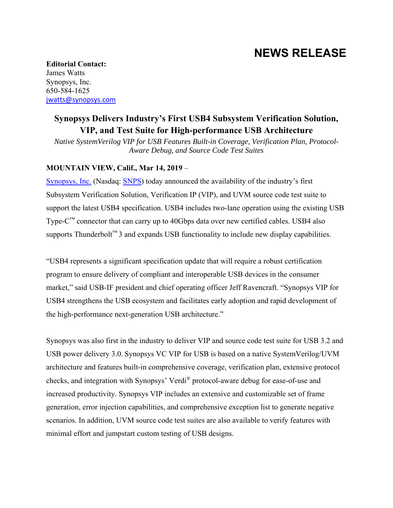# **NEWS RELEASE**

**Editorial Contact:**  James Watts Synopsys, Inc. 650-584-1625 jwatts@synopsys.com

# **Synopsys Delivers Industry's First USB4 Subsystem Verification Solution, VIP, and Test Suite for High-performance USB Architecture**

*Native SystemVerilog VIP for USB Features Built-in Coverage, Verification Plan, Protocol-Aware Debug, and Source Code Test Suites* 

## **MOUNTAIN VIEW, Calif., Mar 14, 2019** –

Synopsys, Inc. (Nasdaq: SNPS) today announced the availability of the industry's first Subsystem Verification Solution, Verification IP (VIP), and UVM source code test suite to support the latest USB4 specification. USB4 includes two-lane operation using the existing USB Type- $C^{M}$  connector that can carry up to 40Gbps data over new certified cables. USB4 also supports Thunderbolt<sup>™</sup> 3 and expands USB functionality to include new display capabilities.

"USB4 represents a significant specification update that will require a robust certification program to ensure delivery of compliant and interoperable USB devices in the consumer market," said USB-IF president and chief operating officer Jeff Ravencraft. "Synopsys VIP for USB4 strengthens the USB ecosystem and facilitates early adoption and rapid development of the high-performance next-generation USB architecture."

Synopsys was also first in the industry to deliver VIP and source code test suite for USB 3.2 and USB power delivery 3.0. Synopsys VC VIP for USB is based on a native SystemVerilog/UVM architecture and features built-in comprehensive coverage, verification plan, extensive protocol checks, and integration with Synopsys' Verdi® protocol-aware debug for ease-of-use and increased productivity. Synopsys VIP includes an extensive and customizable set of frame generation, error injection capabilities, and comprehensive exception list to generate negative scenarios. In addition, UVM source code test suites are also available to verify features with minimal effort and jumpstart custom testing of USB designs.